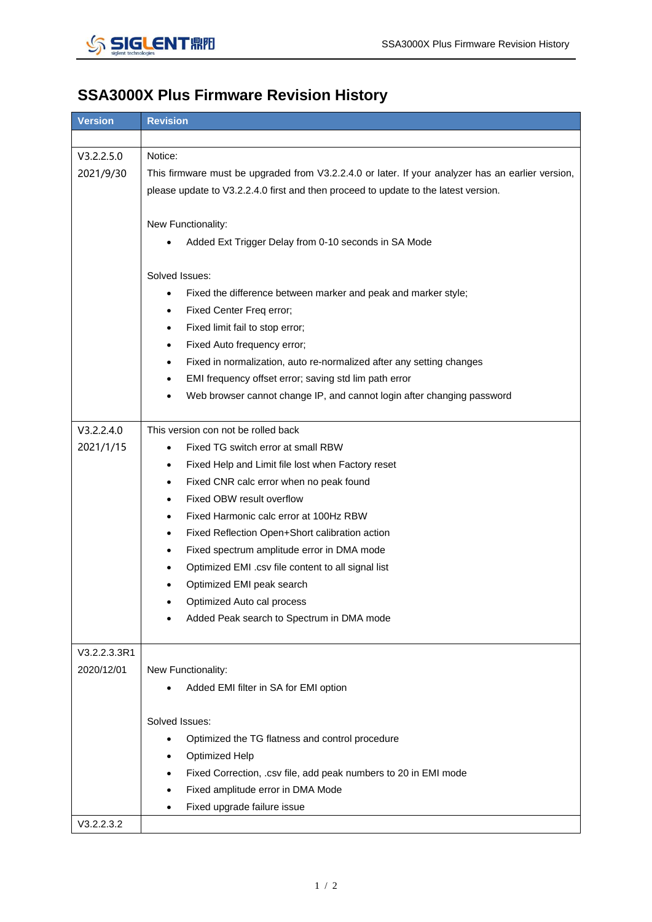

## **SSA3000X Plus Firmware Revision History**

| <b>Version</b>             | <b>Revision</b>                                                                                   |
|----------------------------|---------------------------------------------------------------------------------------------------|
|                            |                                                                                                   |
| V3.2.2.5.0                 | Notice:                                                                                           |
| 2021/9/30                  | This firmware must be upgraded from V3.2.2.4.0 or later. If your analyzer has an earlier version, |
|                            | please update to V3.2.2.4.0 first and then proceed to update to the latest version.               |
|                            |                                                                                                   |
|                            | New Functionality:                                                                                |
|                            | Added Ext Trigger Delay from 0-10 seconds in SA Mode                                              |
|                            |                                                                                                   |
|                            | Solved Issues:                                                                                    |
|                            | Fixed the difference between marker and peak and marker style;<br>$\bullet$                       |
|                            | Fixed Center Freq error;                                                                          |
|                            | Fixed limit fail to stop error;                                                                   |
|                            | Fixed Auto frequency error;                                                                       |
|                            | Fixed in normalization, auto re-normalized after any setting changes                              |
|                            | EMI frequency offset error; saving std lim path error<br>$\bullet$                                |
|                            | Web browser cannot change IP, and cannot login after changing password                            |
|                            |                                                                                                   |
| V3.2.2.4.0                 | This version con not be rolled back                                                               |
| 2021/1/15                  | Fixed TG switch error at small RBW                                                                |
|                            | Fixed Help and Limit file lost when Factory reset<br>٠                                            |
|                            | Fixed CNR calc error when no peak found                                                           |
|                            | Fixed OBW result overflow                                                                         |
|                            | Fixed Harmonic calc error at 100Hz RBW                                                            |
|                            | Fixed Reflection Open+Short calibration action<br>$\bullet$                                       |
|                            | Fixed spectrum amplitude error in DMA mode                                                        |
|                            | Optimized EMI .csv file content to all signal list                                                |
|                            | Optimized EMI peak search                                                                         |
|                            | Optimized Auto cal process                                                                        |
|                            | Added Peak search to Spectrum in DMA mode                                                         |
|                            |                                                                                                   |
| V3.2.2.3.3R1<br>2020/12/01 | New Functionality:                                                                                |
|                            | Added EMI filter in SA for EMI option                                                             |
|                            |                                                                                                   |
|                            | Solved Issues:                                                                                    |
|                            | Optimized the TG flatness and control procedure<br>$\bullet$                                      |
|                            | <b>Optimized Help</b>                                                                             |
|                            | Fixed Correction, .csv file, add peak numbers to 20 in EMI mode                                   |
|                            | Fixed amplitude error in DMA Mode                                                                 |
|                            | Fixed upgrade failure issue                                                                       |
| V3.2.2.3.2                 |                                                                                                   |